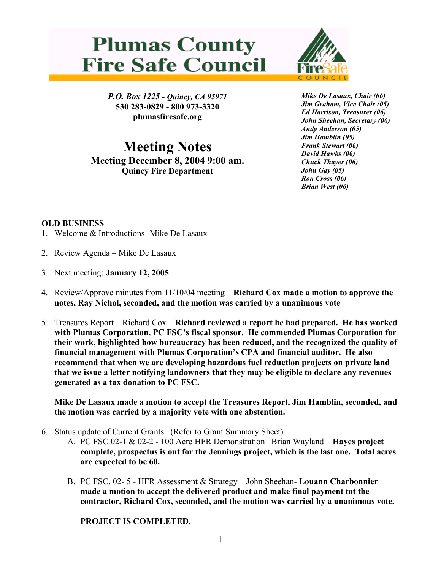## **Plumas County Fire Safe Council**



*P.O. Box 1225 - Quincy, CA 95971*  **530 283-0829 - 800 973-3320 plumasfiresafe.org** 

**Meeting Notes Meeting December 8, 2004 9:00 am. Quincy Fire Department**

*Mike De Lasaux, Chair (06) Jim Graham, Vice Chair (05) Ed Harrison, Treasurer (06) John Sheehan, Secretary (06) Andy Anderson (05) Jim Hamblin (05) Frank Stewart (06) David Hawks (06) Chuck Thayer (06) John Gay (05) Ron Cross (06) Brian West (06)*

## **OLD BUSINESS**

- 1. Welcome & Introductions- Mike De Lasaux
- 2. Review Agenda Mike De Lasaux
- 3. Next meeting: **January 12, 2005**
- 4. Review/Approve minutes from 11/10/04 meeting **Richard Cox made a motion to approve the notes, Ray Nichol, seconded, and the motion was carried by a unanimous vote**
- 5. Treasures Report Richard Cox **Richard reviewed a report he had prepared. He has worked with Plumas Corporation, PC FSC's fiscal sponsor. He commended Plumas Corporation for their work, highlighted how bureaucracy has been reduced, and the recognized the quality of financial management with Plumas Corporation's CPA and financial auditor. He also recommend that when we are developing hazardous fuel reduction projects on private land that we issue a letter notifying landowners that they may be eligible to declare any revenues generated as a tax donation to PC FSC.**

**Mike De Lasaux made a motion to accept the Treasures Report, Jim Hamblin, seconded, and the motion was carried by a majority vote with one abstention.** 

- 6. Status update of Current Grants. (Refer to Grant Summary Sheet)
	- A. PC FSC 02-1 & 02-2 100 Acre HFR Demonstration– Brian Wayland **Hayes project complete, prospectus is out for the Jennings project, which is the last one. Total acres are expected to be 60.**
	- B. PC FSC. 02- 5 HFR Assessment & Strategy John Sheehan- **Louann Charbonnier made a motion to accept the delivered product and make final payment tot the contractor, Richard Cox, seconded, and the motion was carried by a unanimous vote.**

**PROJECT IS COMPLETED.**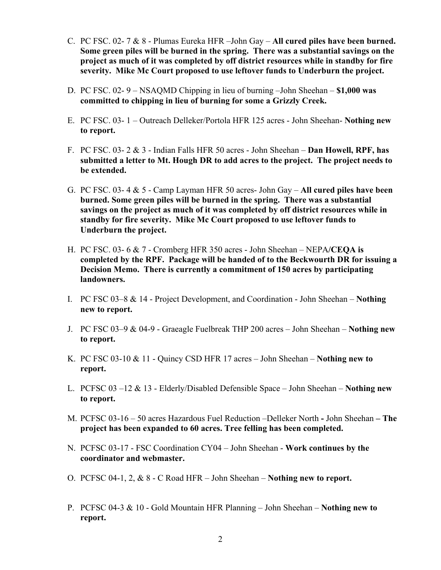- C. PC FSC. 02- 7 & 8 Plumas Eureka HFR –John Gay **All cured piles have been burned. Some green piles will be burned in the spring. There was a substantial savings on the project as much of it was completed by off district resources while in standby for fire severity. Mike Mc Court proposed to use leftover funds to Underburn the project.**
- D. PC FSC. 02- 9 NSAQMD Chipping in lieu of burning –John Sheehan **\$1,000 was committed to chipping in lieu of burning for some a Grizzly Creek.**
- E. PC FSC. 03- 1 Outreach Delleker/Portola HFR 125 acres John Sheehan- **Nothing new to report.**
- F. PC FSC. 03- 2 & 3 Indian Falls HFR 50 acres John Sheehan **Dan Howell, RPF, has submitted a letter to Mt. Hough DR to add acres to the project. The project needs to be extended.**
- G. PC FSC. 03- 4 & 5 Camp Layman HFR 50 acres- John Gay **All cured piles have been burned. Some green piles will be burned in the spring. There was a substantial savings on the project as much of it was completed by off district resources while in standby for fire severity. Mike Mc Court proposed to use leftover funds to Underburn the project.**
- H. PC FSC. 03- 6 & 7 Cromberg HFR 350 acres John Sheehan NEPA**/CEQA is completed by the RPF. Package will be handed of to the Beckwourth DR for issuing a Decision Memo. There is currently a commitment of 150 acres by participating landowners.**
- I. PC FSC 03–8 & 14 Project Development, and Coordination John Sheehan – **Nothing new to report.**
- J. PC FSC 03–9 & 04-9 Graeagle Fuelbreak THP 200 acres John Sheehan **Nothing new to report.**
- K. PC FSC 03-10 & 11 Quincy CSD HFR 17 acres John Sheehan – **Nothing new to report.**
- L. PCFSC 03 –12 & 13 Elderly/Disabled Defensible Space John Sheehan – **Nothing new to report.**
- M. PCFSC 03-16 50 acres Hazardous Fuel Reduction –Delleker North **-** John Sheehan **The project has been expanded to 60 acres. Tree felling has been completed.**
- N. PCFSC 03-17 FSC Coordination CY04 John Sheehan **Work continues by the coordinator and webmaster.**
- O. PCFSC 04-1, 2, & 8 C Road HFR John Sheehan **Nothing new to report.**
- P. PCFSC 04-3 & 10 Gold Mountain HFR Planning John Sheehan – **Nothing new to report.**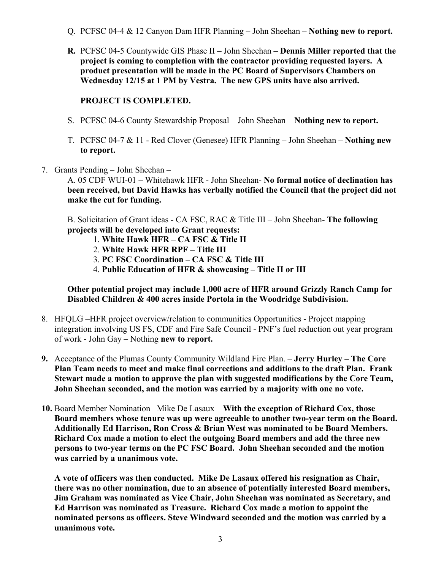- Q. PCFSC 04-4 & 12 Canyon Dam HFR Planning John Sheehan **Nothing new to report.**
- **R.** PCFSC 04-5 Countywide GIS Phase II John Sheehan **Dennis Miller reported that the project is coming to completion with the contractor providing requested layers. A product presentation will be made in the PC Board of Supervisors Chambers on Wednesday 12/15 at 1 PM by Vestra. The new GPS units have also arrived.**

## **PROJECT IS COMPLETED.**

- S. PCFSC 04-6 County Stewardship Proposal John Sheehan **Nothing new to report.**
- T. PCFSC 04-7 & 11 Red Clover (Genesee) HFR Planning John Sheehan **Nothing new to report.**
- 7. Grants Pending John Sheehan –

A. 05 CDF WUI-01 – Whitehawk HFR - John Sheehan- **No formal notice of declination has been received, but David Hawks has verbally notified the Council that the project did not make the cut for funding.** 

B. Solicitation of Grant ideas - CA FSC, RAC & Title III – John Sheehan- **The following projects will be developed into Grant requests:** 

- 1. **White Hawk HFR CA FSC & Title II**
- 2. **White Hawk HFR RPF Title III**
- 3. **PC FSC Coordination CA FSC & Title III**
- 4. **Public Education of HFR & showcasing Title II or III**

**Other potential project may include 1,000 acre of HFR around Grizzly Ranch Camp for Disabled Children & 400 acres inside Portola in the Woodridge Subdivision.** 

- 8. HFQLG –HFR project overview/relation to communities Opportunities Project mapping integration involving US FS, CDF and Fire Safe Council - PNF's fuel reduction out year program of work - John Gay – Nothing **new to report.**
- **9.** Acceptance of the Plumas County Community Wildland Fire Plan. – **Jerry Hurley The Core Plan Team needs to meet and make final corrections and additions to the draft Plan. Frank Stewart made a motion to approve the plan with suggested modifications by the Core Team, John Sheehan seconded, and the motion was carried by a majority with one no vote.**
- **10.** Board Member Nomination– Mike De Lasaux **With the exception of Richard Cox, those Board members whose tenure was up were agreeable to another two-year term on the Board. Additionally Ed Harrison, Ron Cross & Brian West was nominated to be Board Members. Richard Cox made a motion to elect the outgoing Board members and add the three new persons to two-year terms on the PC FSC Board. John Sheehan seconded and the motion was carried by a unanimous vote.**

**A vote of officers was then conducted. Mike De Lasaux offered his resignation as Chair, there was no other nomination, due to an absence of potentially interested Board members, Jim Graham was nominated as Vice Chair, John Sheehan was nominated as Secretary, and Ed Harrison was nominated as Treasure. Richard Cox made a motion to appoint the nominated persons as officers. Steve Windward seconded and the motion was carried by a unanimous vote.**